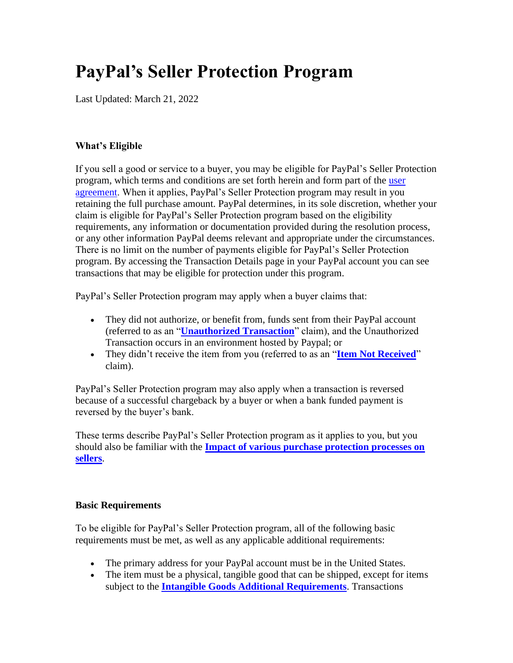# **PayPal's Seller Protection Program**

Last Updated: March 21, 2022

## **What's Eligible**

If you sell a good or service to a buyer, you may be eligible for PayPal's Seller Protection program, which terms and conditions are set forth herein and form part of the [user](https://www.paypal.com/us/webapps/mpp/ua/useragreement-full?locale.x=en_US)  [agreement.](https://www.paypal.com/us/webapps/mpp/ua/useragreement-full?locale.x=en_US) When it applies, PayPal's Seller Protection program may result in you retaining the full purchase amount. PayPal determines, in its sole discretion, whether your claim is eligible for PayPal's Seller Protection program based on the eligibility requirements, any information or documentation provided during the resolution process, or any other information PayPal deems relevant and appropriate under the circumstances. There is no limit on the number of payments eligible for PayPal's Seller Protection program. By accessing the Transaction Details page in your PayPal account you can see transactions that may be eligible for protection under this program.

PayPal's Seller Protection program may apply when a buyer claims that:

- They did not authorize, or benefit from, funds sent from their PayPal account (referred to as an "**[Unauthorized Transaction](https://www.paypal.com/us/webapps/mpp/ua/useragreement-full?locale.x=en_US#what-is-unauthorized-transaction)**" claim), and the Unauthorized Transaction occurs in an environment hosted by Paypal; or
- They didn't receive the item from you (referred to as an "**[Item Not Received](https://www.paypal.com/us/webapps/mpp/ua/buyer-protection?locale.x=en_US#item-not-received)**" claim).

PayPal's Seller Protection program may also apply when a transaction is reversed because of a successful chargeback by a buyer or when a bank funded payment is reversed by the buyer's bank.

These terms describe PayPal's Seller Protection program as it applies to you, but you should also be familiar with the **[Impact of various purchase protection processes on](https://www.paypal.com/us/webapps/mpp/ua/useragreement-full?locale.x=en_US#impact-purchase-protection-sellers)  [sellers](https://www.paypal.com/us/webapps/mpp/ua/useragreement-full?locale.x=en_US#impact-purchase-protection-sellers)**.

#### <span id="page-0-0"></span>**Basic Requirements**

To be eligible for PayPal's Seller Protection program, all of the following basic requirements must be met, as well as any applicable additional requirements:

- The primary address for your PayPal account must be in the United States.
- The item must be a physical, tangible good that can be shipped, except for items subject to the **[Intangible Goods Additional Requirements](#page-2-0)**. Transactions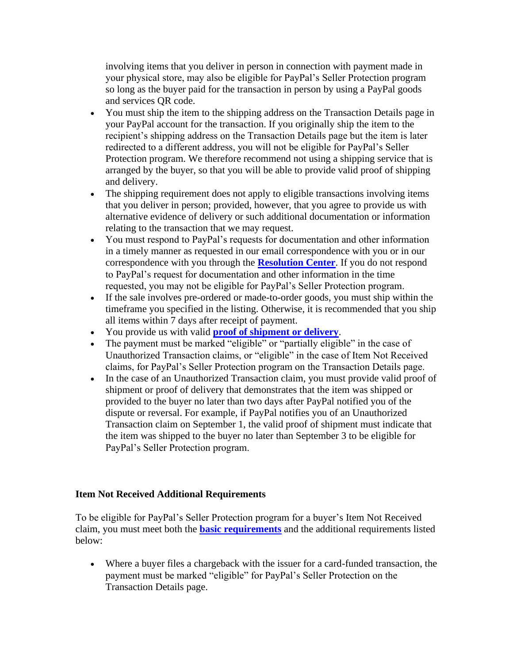involving items that you deliver in person in connection with payment made in your physical store, may also be eligible for PayPal's Seller Protection program so long as the buyer paid for the transaction in person by using a PayPal goods and services QR code.

- You must ship the item to the shipping address on the Transaction Details page in your PayPal account for the transaction. If you originally ship the item to the recipient's shipping address on the Transaction Details page but the item is later redirected to a different address, you will not be eligible for PayPal's Seller Protection program. We therefore recommend not using a shipping service that is arranged by the buyer, so that you will be able to provide valid proof of shipping and delivery.
- The shipping requirement does not apply to eligible transactions involving items that you deliver in person; provided, however, that you agree to provide us with alternative evidence of delivery or such additional documentation or information relating to the transaction that we may request.
- You must respond to PayPal's requests for documentation and other information in a timely manner as requested in our email correspondence with you or in our correspondence with you through the **[Resolution Center](https://www.paypal.com/us/cgi-bin/webscr?cmd=_complaint-view&nav=0.4&locale.x=en_US)**. If you do not respond to PayPal's request for documentation and other information in the time requested, you may not be eligible for PayPal's Seller Protection program.
- If the sale involves pre-ordered or made-to-order goods, you must ship within the timeframe you specified in the listing. Otherwise, it is recommended that you ship all items within 7 days after receipt of payment.
- You provide us with valid **[proof of shipment or delivery](#page-2-1)**.
- The payment must be marked "eligible" or "partially eligible" in the case of Unauthorized Transaction claims, or "eligible" in the case of Item Not Received claims, for PayPal's Seller Protection program on the Transaction Details page.
- In the case of an Unauthorized Transaction claim, you must provide valid proof of shipment or proof of delivery that demonstrates that the item was shipped or provided to the buyer no later than two days after PayPal notified you of the dispute or reversal. For example, if PayPal notifies you of an Unauthorized Transaction claim on September 1, the valid proof of shipment must indicate that the item was shipped to the buyer no later than September 3 to be eligible for PayPal's Seller Protection program.

## **Item Not Received Additional Requirements**

To be eligible for PayPal's Seller Protection program for a buyer's Item Not Received claim, you must meet both the **[basic requirements](#page-0-0)** and the additional requirements listed below:

• Where a buyer files a chargeback with the issuer for a card-funded transaction, the payment must be marked "eligible" for PayPal's Seller Protection on the Transaction Details page.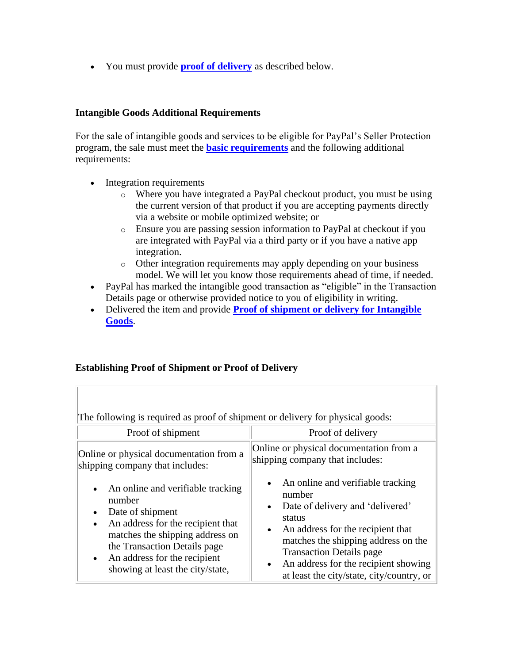• You must provide **[proof of delivery](#page-2-1)** as described below.

#### <span id="page-2-0"></span>**Intangible Goods Additional Requirements**

For the sale of intangible goods and services to be eligible for PayPal's Seller Protection program, the sale must meet the **[basic requirements](#page-0-0)** and the following additional requirements:

- Integration requirements
	- o Where you have integrated a PayPal checkout product, you must be using the current version of that product if you are accepting payments directly via a website or mobile optimized website; or
	- o Ensure you are passing session information to PayPal at checkout if you are integrated with PayPal via a third party or if you have a native app integration.
	- o Other integration requirements may apply depending on your business model. We will let you know those requirements ahead of time, if needed.
- PayPal has marked the intangible good transaction as "eligible" in the Transaction Details page or otherwise provided notice to you of eligibility in writing.
- Delivered the item and provide **[Proof of shipment or delivery for Intangible](#page-3-0)  [Goods](#page-3-0)**.

#### <span id="page-2-1"></span>**Establishing Proof of Shipment or Proof of Delivery**

| The following is required as proof of shipment or delivery for physical goods:                                                                                                                                                                                                                  |                                                                                                                                                                                                                                                                                                                                                   |  |  |
|-------------------------------------------------------------------------------------------------------------------------------------------------------------------------------------------------------------------------------------------------------------------------------------------------|---------------------------------------------------------------------------------------------------------------------------------------------------------------------------------------------------------------------------------------------------------------------------------------------------------------------------------------------------|--|--|
| Proof of shipment                                                                                                                                                                                                                                                                               | Proof of delivery                                                                                                                                                                                                                                                                                                                                 |  |  |
| Online or physical documentation from a<br>shipping company that includes:                                                                                                                                                                                                                      | Online or physical documentation from a<br>shipping company that includes:                                                                                                                                                                                                                                                                        |  |  |
| An online and verifiable tracking<br>$\bullet$<br>number<br>Date of shipment<br>$\bullet$<br>An address for the recipient that<br>$\bullet$<br>matches the shipping address on<br>the Transaction Details page<br>An address for the recipient<br>$\bullet$<br>showing at least the city/state, | An online and verifiable tracking<br>$\bullet$<br>number<br>Date of delivery and 'delivered'<br>$\bullet$<br>status<br>An address for the recipient that<br>$\bullet$<br>matches the shipping address on the<br><b>Transaction Details page</b><br>An address for the recipient showing<br>$\bullet$<br>at least the city/state, city/country, or |  |  |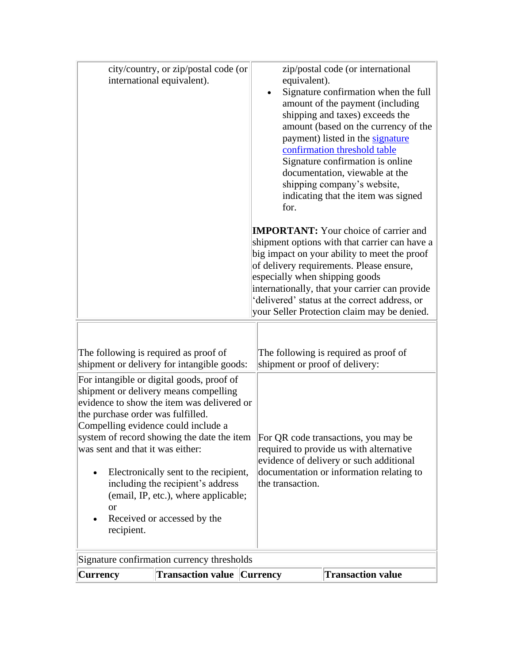<span id="page-3-1"></span><span id="page-3-0"></span>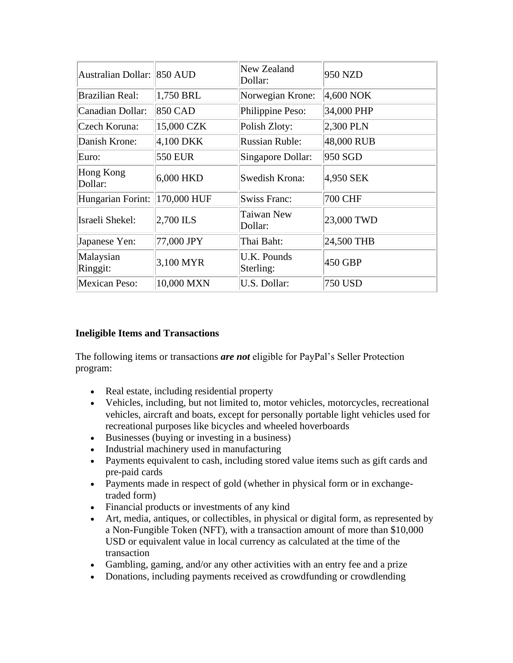| Australian Dollar: 850 AUD |                | New Zealand<br>Dollar:          | 950 NZD        |
|----------------------------|----------------|---------------------------------|----------------|
| <b>Brazilian Real:</b>     | 1,750 BRL      | Norwegian Krone:                | 4,600 NOK      |
| Canadian Dollar:           | <b>850 CAD</b> | Philippine Peso:                | 34,000 PHP     |
| Czech Koruna:              | 15,000 CZK     | Polish Zloty:                   | $2,300$ PLN    |
| Danish Krone:              | 4,100 DKK      | <b>Russian Ruble:</b>           | 48,000 RUB     |
| Euro:                      | <b>550 EUR</b> | Singapore Dollar:               | 950 SGD        |
| Hong Kong<br>Dollar:       | 6,000 HKD      | Swedish Krona:                  | 4,950 SEK      |
| Hungarian Forint:          | 170,000 HUF    | <b>Swiss Franc:</b>             | <b>700 CHF</b> |
| Israeli Shekel:            | 2,700 ILS      | Taiwan New<br>Dollar:           | 23,000 TWD     |
| Japanese Yen:              | 77,000 JPY     | Thai Baht:                      | 24,500 THB     |
| Malaysian<br>Ringgit:      | 3,100 MYR      | <b>U.K. Pounds</b><br>Sterling: | 450 GBP        |
| <b>Mexican Peso:</b>       | 10,000 MXN     | U.S. Dollar:                    | 750 USD        |

## **Ineligible Items and Transactions**

The following items or transactions *are not* eligible for PayPal's Seller Protection program:

- Real estate, including residential property
- Vehicles, including, but not limited to, motor vehicles, motorcycles, recreational vehicles, aircraft and boats, except for personally portable light vehicles used for recreational purposes like bicycles and wheeled hoverboards
- Businesses (buying or investing in a business)
- Industrial machinery used in manufacturing
- Payments equivalent to cash, including stored value items such as gift cards and pre-paid cards
- Payments made in respect of gold (whether in physical form or in exchangetraded form)
- Financial products or investments of any kind
- Art, media, antiques, or collectibles, in physical or digital form, as represented by a Non-Fungible Token (NFT), with a transaction amount of more than \$10,000 USD or equivalent value in local currency as calculated at the time of the transaction
- Gambling, gaming, and/or any other activities with an entry fee and a prize
- Donations, including payments received as crowdfunding or crowdlending